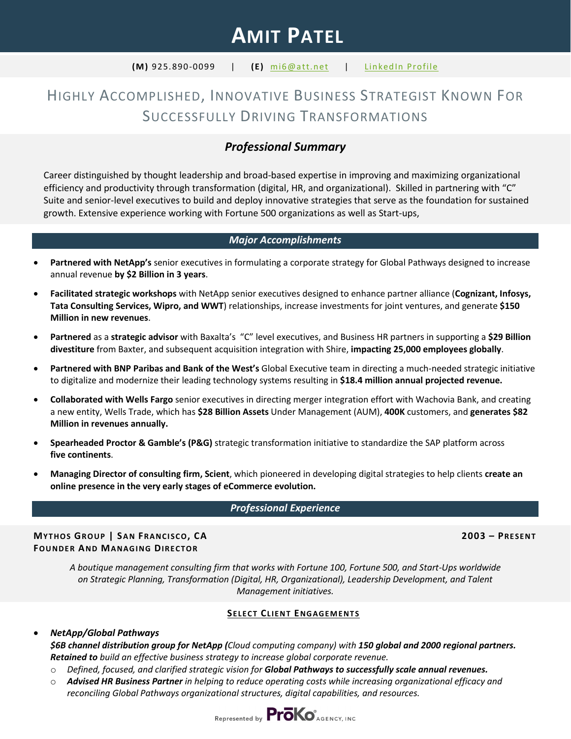# **AMIT PATEL**

#### **(M)** 925.890-0099 | **(E)** [mi6@att.net](mailto:mi6@att.net) | [LinkedIn Profile](http://www.linkedin.com/in/amitpatelstrategyocm)

## HIGHLY ACCOMPLISHED, INNOVATIVE BUSINESS STRATEGIST KNOWN FOR SUCCESSFULLY DRIVING TRANSFORMATIONS

## *Professional Summary*

Career distinguished by thought leadership and broad-based expertise in improving and maximizing organizational efficiency and productivity through transformation (digital, HR, and organizational). Skilled in partnering with "C" Suite and senior-level executives to build and deploy innovative strategies that serve as the foundation for sustained growth. Extensive experience working with Fortune 500 organizations as well as Start-ups,

#### *Major Accomplishments*

- **Partnered with NetApp's** senior executives in formulating a corporate strategy for Global Pathways designed to increase annual revenue **by \$2 Billion in 3 years**.
- **Facilitated strategic workshops** with NetApp senior executives designed to enhance partner alliance (**Cognizant, Infosys, Tata Consulting Services, Wipro, and WWT**) relationships, increase investments for joint ventures, and generate **\$150 Million in new revenues**.
- **Partnered** as a **strategic advisor** with Baxalta's "C" level executives, and Business HR partners in supporting a **\$29 Billion divestiture** from Baxter, and subsequent acquisition integration with Shire, **impacting 25,000 employees globally**.
- **Partnered with BNP Paribas and Bank of the West's** Global Executive team in directing a much-needed strategic initiative to digitalize and modernize their leading technology systems resulting in **\$18.4 million annual projected revenue.**
- **Collaborated with Wells Fargo** senior executives in directing merger integration effort with Wachovia Bank, and creating a new entity, Wells Trade, which has **\$28 Billion Assets** Under Management (AUM), **400K** customers, and **generates \$82 Million in revenues annually.**
- **Spearheaded Proctor & Gamble's (P&G)** strategic transformation initiative to standardize the SAP platform across **five continents**.
- **Managing Director of consulting firm, Scient**, which pioneered in developing digital strategies to help clients **create an online presence in the very early stages of eCommerce evolution.**

#### *Professional Experience*

**MYTHOS GROUP | SAN FRANCISCO, CA 2003 – PRESENT FOUNDER AND MANAGING DIRECTOR**

*A boutique management consulting firm that works with Fortune 100, Fortune 500, and Start-Ups worldwide on Strategic Planning, Transformation (Digital, HR, Organizational), Leadership Development, and Talent Management initiatives.*

#### **SELECT CLIENT ENGAGEMENTS**

#### • *NetApp/Global Pathways*

*\$6B channel distribution group for NetApp (Cloud computing company) with 150 global and 2000 regional partners. Retained to build an effective business strategy to increase global corporate revenue.*

- o *Defined, focused, and clarified strategic vision for Global Pathways to successfully scale annual revenues.*
- o *Advised HR Business Partner in helping to reduce operating costs while increasing organizational efficacy and reconciling Global Pathways organizational structures, digital capabilities, and resources.*